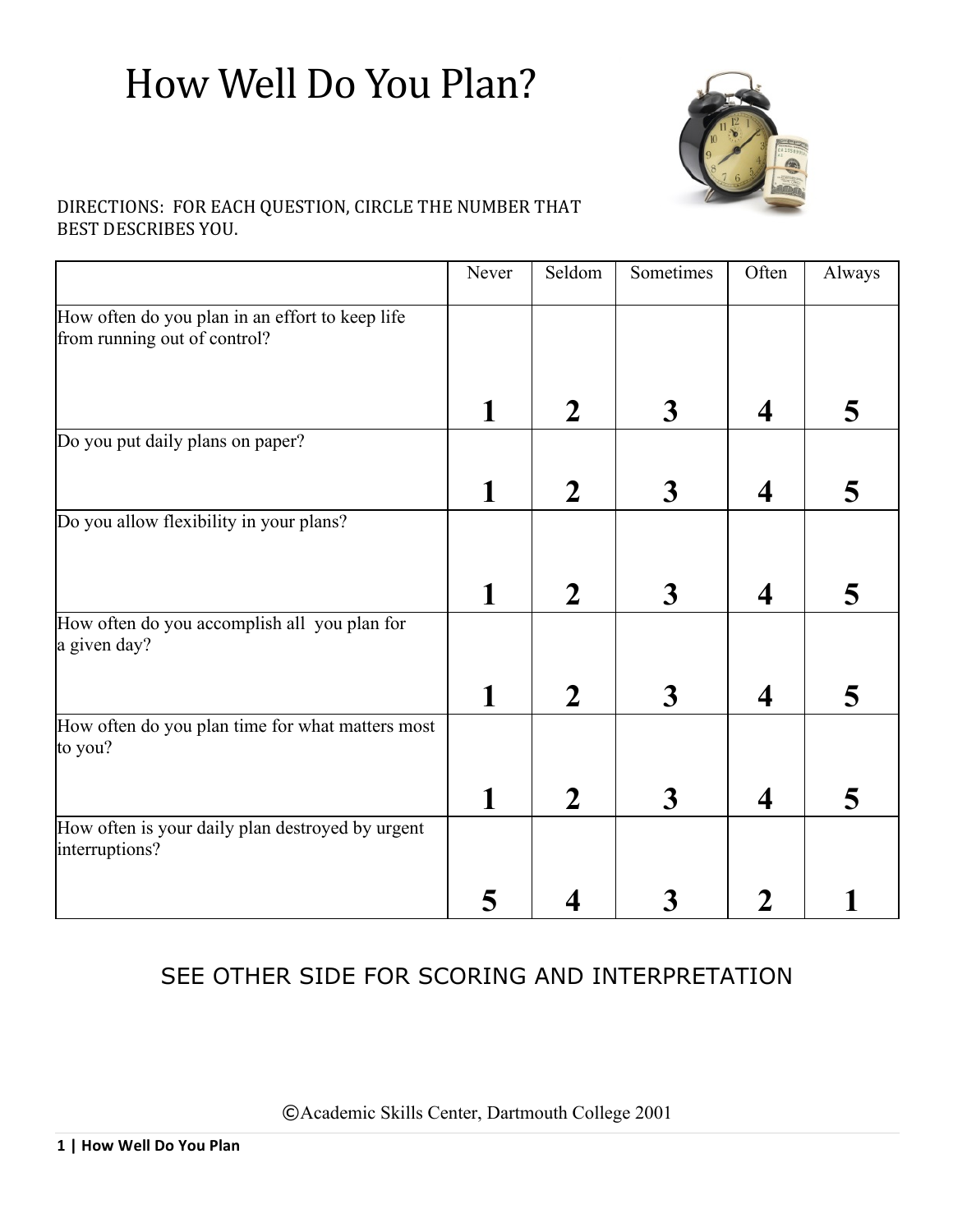# How Well Do You Plan?



### DIRECTIONS: FOR EACH QUESTION, CIRCLE THE NUMBER THAT BEST DESCRIBES YOU.

|                                                                                 | Never | Seldom         | Sometimes               | Often                   | Always |
|---------------------------------------------------------------------------------|-------|----------------|-------------------------|-------------------------|--------|
| How often do you plan in an effort to keep life<br>from running out of control? |       |                |                         |                         |        |
|                                                                                 |       | $\mathbf 2$    | $\overline{\mathbf{3}}$ | $\overline{\mathbf{4}}$ | 5      |
| Do you put daily plans on paper?                                                |       |                |                         |                         |        |
|                                                                                 | 1     | $\overline{2}$ | $\overline{\mathbf{3}}$ | $\boldsymbol{4}$        | 5      |
| Do you allow flexibility in your plans?                                         |       |                |                         |                         |        |
|                                                                                 | 1     | $\mathbf 2$    | $\overline{\mathbf{3}}$ | $\boldsymbol{4}$        | 5      |
| How often do you accomplish all you plan for<br>a given day?                    |       |                |                         |                         |        |
|                                                                                 | 1     | 2              | $\boldsymbol{3}$        | $\overline{\mathbf{4}}$ | 5      |
| How often do you plan time for what matters most<br>to you?                     |       |                |                         |                         |        |
|                                                                                 |       | 2              | $\boldsymbol{3}$        | 4                       | 5      |
| How often is your daily plan destroyed by urgent<br>interruptions?              |       |                |                         |                         |        |
|                                                                                 |       |                | 3                       |                         |        |

## SEE OTHER SIDE FOR SCORING AND INTERPRETATION

©Academic Skills Center, Dartmouth College 2001